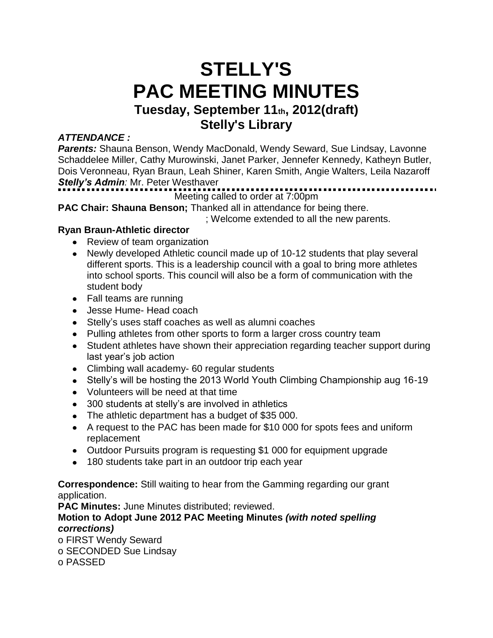# **STELLY'S PAC MEETING MINUTES Tuesday, September 11th, 2012(draft) Stelly's Library**

# *ATTENDANCE :*

**Parents:** Shauna Benson, Wendy MacDonald, Wendy Seward, Sue Lindsay, Lavonne Schaddelee Miller, Cathy Murowinski, Janet Parker, Jennefer Kennedy, Katheyn Butler, Dois Veronneau, Ryan Braun, Leah Shiner, Karen Smith, Angie Walters, Leila Nazaroff *Stelly's Admin:* Mr. Peter Westhaver

# Meeting called to order at 7:00pm

**PAC Chair: Shauna Benson;** Thanked all in attendance for being there.

; Welcome extended to all the new parents.

# **Ryan Braun-Athletic director**

- Review of team organization
- Newly developed Athletic council made up of 10-12 students that play several different sports. This is a leadership council with a goal to bring more athletes into school sports. This council will also be a form of communication with the student body
- Fall teams are running
- Jesse Hume- Head coach
- Stelly's uses staff coaches as well as alumni coaches
- Pulling athletes from other sports to form a larger cross country team
- Student athletes have shown their appreciation regarding teacher support during last year's job action
- Climbing wall academy- 60 regular students
- Stelly's will be hosting the 2013 World Youth Climbing Championship aug 16-19
- Volunteers will be need at that time
- 300 students at stelly's are involved in athletics
- The athletic department has a budget of \$35 000.
- A request to the PAC has been made for \$10 000 for spots fees and uniform replacement
- Outdoor Pursuits program is requesting \$1 000 for equipment upgrade
- 180 students take part in an outdoor trip each year

**Correspondence:** Still waiting to hear from the Gamming regarding our grant application.

**PAC Minutes:** June Minutes distributed; reviewed.

**Motion to Adopt June 2012 PAC Meeting Minutes** *(with noted spelling corrections)*

o FIRST Wendy Seward

o SECONDED Sue Lindsay

o PASSED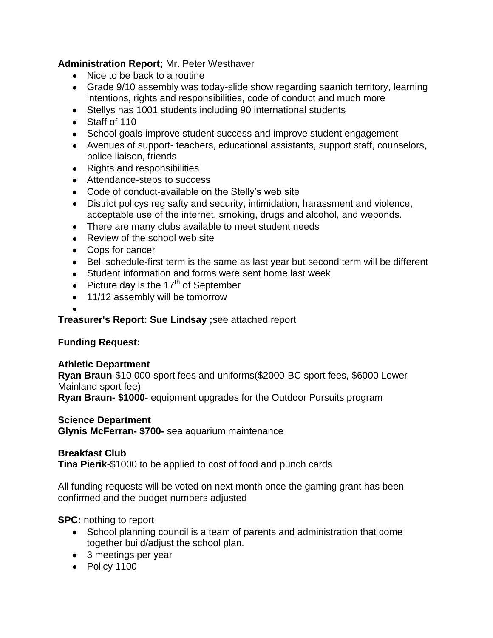#### **Administration Report;** Mr. Peter Westhaver

- Nice to be back to a routine
- Grade 9/10 assembly was today-slide show regarding saanich territory, learning intentions, rights and responsibilities, code of conduct and much more
- Stellys has 1001 students including 90 international students
- Staff of 110
- School goals-improve student success and improve student engagement
- Avenues of support- teachers, educational assistants, support staff, counselors, police liaison, friends
- Rights and responsibilities
- Attendance-steps to success
- Code of conduct-available on the Stelly's web site
- District policys reg safty and security, intimidation, harassment and violence, acceptable use of the internet, smoking, drugs and alcohol, and weponds.
- There are many clubs available to meet student needs
- Review of the school web site
- Cops for cancer
- Bell schedule-first term is the same as last year but second term will be different
- Student information and forms were sent home last week
- Picture day is the  $17<sup>th</sup>$  of September
- 11/12 assembly will be tomorrow

#### **Treasurer's Report: Sue Lindsay ;**see attached report

# **Funding Request:**

#### **Athletic Department**

**Ryan Braun**-\$10 000-sport fees and uniforms(\$2000-BC sport fees, \$6000 Lower Mainland sport fee)

**Ryan Braun- \$1000**- equipment upgrades for the Outdoor Pursuits program

#### **Science Department**

**Glynis McFerran- \$700-** sea aquarium maintenance

#### **Breakfast Club**

**Tina Pierik**-\$1000 to be applied to cost of food and punch cards

All funding requests will be voted on next month once the gaming grant has been confirmed and the budget numbers adjusted

#### **SPC:** nothing to report

- School planning council is a team of parents and administration that come together build/adjust the school plan.
- 3 meetings per year
- Policy 1100